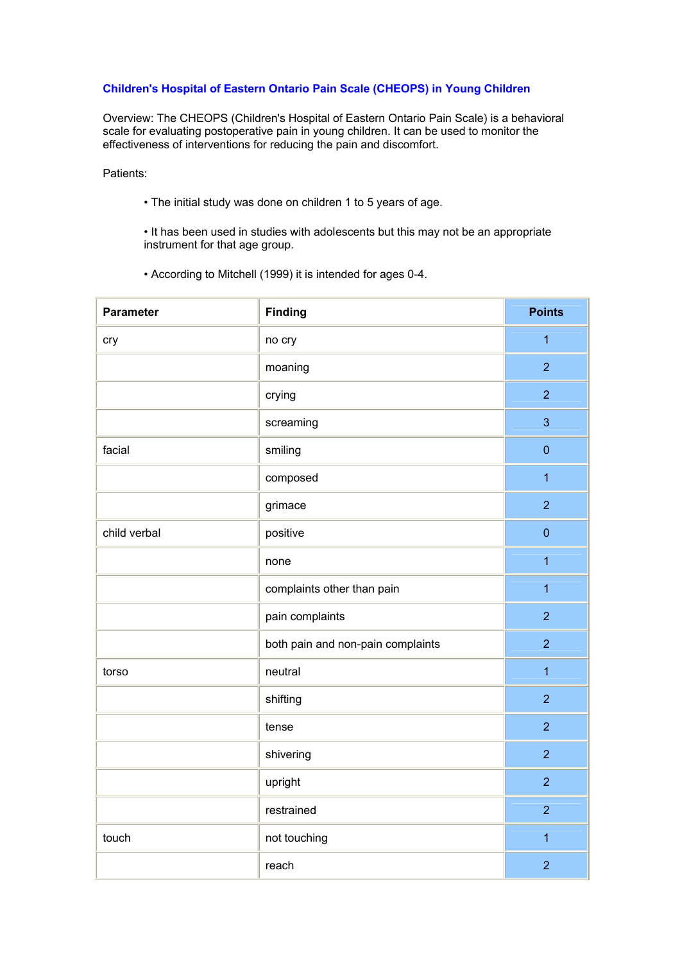## **Children's Hospital of Eastern Ontario Pain Scale (CHEOPS) in Young Children**

Overview: The CHEOPS (Children's Hospital of Eastern Ontario Pain Scale) is a behavioral scale for evaluating postoperative pain in young children. It can be used to monitor the effectiveness of interventions for reducing the pain and discomfort.

Patients:

• The initial study was done on children 1 to 5 years of age.

• It has been used in studies with adolescents but this may not be an appropriate instrument for that age group.

• According to Mitchell (1999) it is intended for ages 0-4.

| <b>Parameter</b> | <b>Finding</b>                    | <b>Points</b>    |
|------------------|-----------------------------------|------------------|
| cry              | no cry                            | $\overline{1}$   |
|                  | moaning                           | $\overline{2}$   |
|                  | crying                            | $\overline{2}$   |
|                  | screaming                         | 3                |
| facial           | smiling                           | $\pmb{0}$        |
|                  | composed                          | $\overline{1}$   |
|                  | grimace                           | $\overline{2}$   |
| child verbal     | positive                          | $\boldsymbol{0}$ |
|                  | none                              | $\overline{1}$   |
|                  | complaints other than pain        | $\overline{1}$   |
|                  | pain complaints                   | $\overline{2}$   |
|                  | both pain and non-pain complaints | $\overline{2}$   |
| torso            | neutral                           | $\overline{1}$   |
|                  | shifting                          | $\overline{2}$   |
|                  | tense                             | $\overline{2}$   |
|                  | shivering                         | $\overline{2}$   |
|                  | upright                           | $\overline{2}$   |
|                  | restrained                        | $\overline{2}$   |
| touch            | not touching                      | $\mathbf{1}$     |
|                  | reach                             | $\overline{2}$   |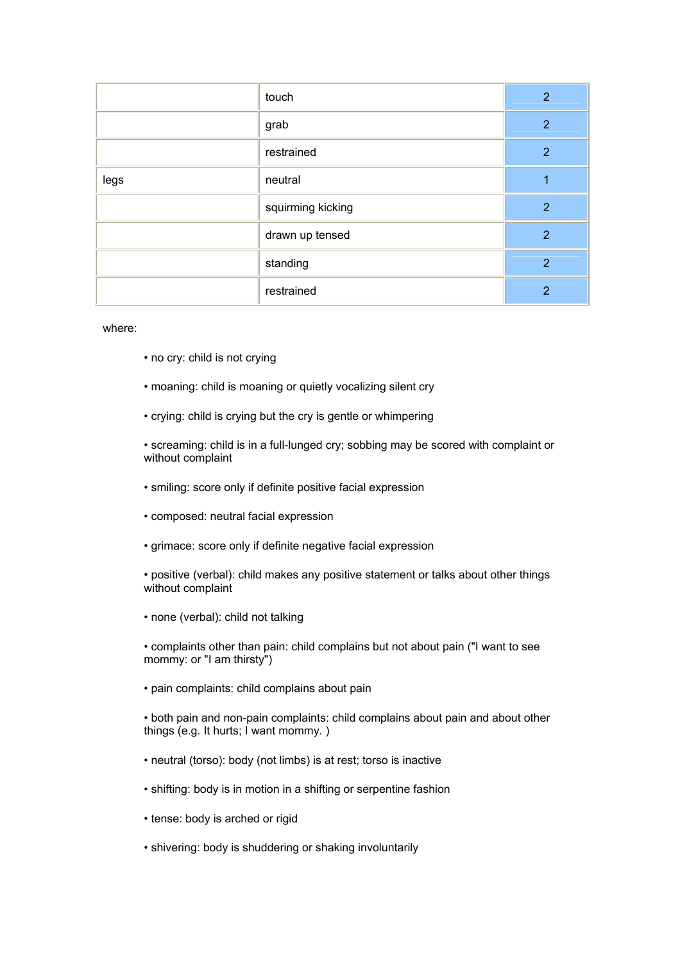|      | touch             | $\overline{2}$ |
|------|-------------------|----------------|
|      | grab              | 2              |
|      | restrained        | $\overline{2}$ |
| legs | neutral           |                |
|      | squirming kicking | 2              |
|      | drawn up tensed   | $\overline{2}$ |
|      | standing          | 2              |
|      | restrained        | 2              |

## where:

- no cry: child is not crying
- moaning: child is moaning or quietly vocalizing silent cry
- crying: child is crying but the cry is gentle or whimpering

• screaming: child is in a full-lunged cry; sobbing may be scored with complaint or without complaint

- smiling: score only if definite positive facial expression
- composed: neutral facial expression
- grimace: score only if definite negative facial expression
- positive (verbal): child makes any positive statement or talks about other things without complaint
- none (verbal): child not talking

• complaints other than pain: child complains but not about pain ("I want to see mommy: or "I am thirsty")

• pain complaints: child complains about pain

• both pain and non-pain complaints: child complains about pain and about other things (e.g. It hurts; I want mommy. )

- neutral (torso): body (not limbs) is at rest; torso is inactive
- shifting: body is in motion in a shifting or serpentine fashion
- tense: body is arched or rigid
- shivering: body is shuddering or shaking involuntarily